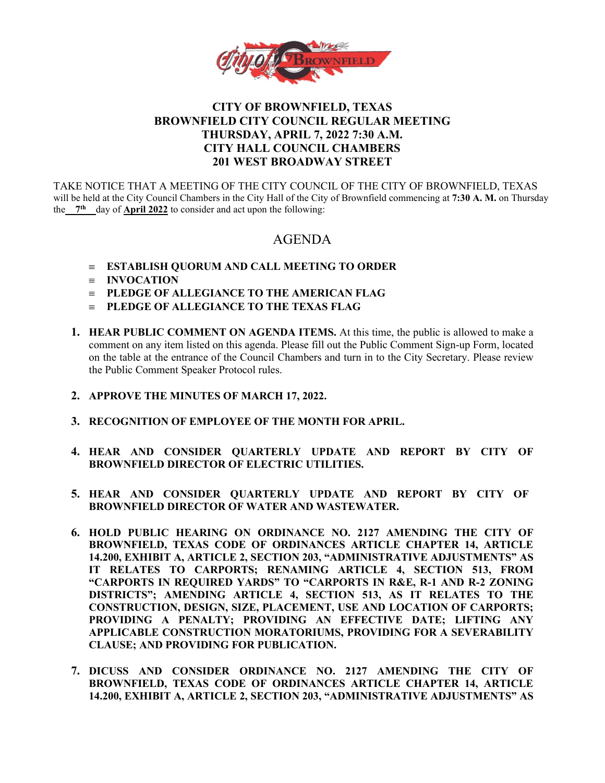

## **CITY OF BROWNFIELD, TEXAS BROWNFIELD CITY COUNCIL REGULAR MEETING THURSDAY, APRIL 7, 2022 7:30 A.M. CITY HALL COUNCIL CHAMBERS 201 WEST BROADWAY STREET**

TAKE NOTICE THAT A MEETING OF THE CITY COUNCIL OF THE CITY OF BROWNFIELD, TEXAS will be held at the City Council Chambers in the City Hall of the City of Brownfield commencing at **7:30 A. M.** on Thursday the 7<sup>th</sup> day of **April 2022** to consider and act upon the following:

# AGENDA

- ≡ **ESTABLISH QUORUM AND CALL MEETING TO ORDER**
- ≡ **INVOCATION**
- ≡ **PLEDGE OF ALLEGIANCE TO THE AMERICAN FLAG**
- ≡ **PLEDGE OF ALLEGIANCE TO THE TEXAS FLAG**
- **1. HEAR PUBLIC COMMENT ON AGENDA ITEMS.** At this time, the public is allowed to make a comment on any item listed on this agenda. Please fill out the Public Comment Sign-up Form, located on the table at the entrance of the Council Chambers and turn in to the City Secretary. Please review the Public Comment Speaker Protocol rules.
- **2. APPROVE THE MINUTES OF MARCH 17, 2022.**
- **3. RECOGNITION OF EMPLOYEE OF THE MONTH FOR APRIL.**
- **4. HEAR AND CONSIDER QUARTERLY UPDATE AND REPORT BY CITY OF BROWNFIELD DIRECTOR OF ELECTRIC UTILITIES.**
- **5. HEAR AND CONSIDER QUARTERLY UPDATE AND REPORT BY CITY OF BROWNFIELD DIRECTOR OF WATER AND WASTEWATER.**
- **6. HOLD PUBLIC HEARING ON ORDINANCE NO. 2127 AMENDING THE CITY OF BROWNFIELD, TEXAS CODE OF ORDINANCES ARTICLE CHAPTER 14, ARTICLE 14.200, EXHIBIT A, ARTICLE 2, SECTION 203, "ADMINISTRATIVE ADJUSTMENTS" AS IT RELATES TO CARPORTS; RENAMING ARTICLE 4, SECTION 513, FROM "CARPORTS IN REQUIRED YARDS" TO "CARPORTS IN R&E, R-1 AND R-2 ZONING DISTRICTS"; AMENDING ARTICLE 4, SECTION 513, AS IT RELATES TO THE CONSTRUCTION, DESIGN, SIZE, PLACEMENT, USE AND LOCATION OF CARPORTS; PROVIDING A PENALTY; PROVIDING AN EFFECTIVE DATE; LIFTING ANY APPLICABLE CONSTRUCTION MORATORIUMS, PROVIDING FOR A SEVERABILITY CLAUSE; AND PROVIDING FOR PUBLICATION.**
- **7. DICUSS AND CONSIDER ORDINANCE NO. 2127 AMENDING THE CITY OF BROWNFIELD, TEXAS CODE OF ORDINANCES ARTICLE CHAPTER 14, ARTICLE 14.200, EXHIBIT A, ARTICLE 2, SECTION 203, "ADMINISTRATIVE ADJUSTMENTS" AS**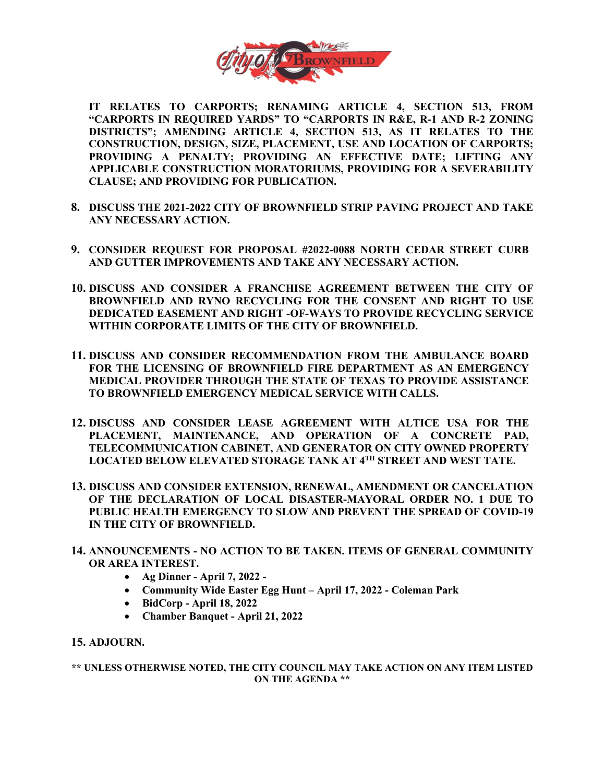

**IT RELATES TO CARPORTS; RENAMING ARTICLE 4, SECTION 513, FROM "CARPORTS IN REQUIRED YARDS" TO "CARPORTS IN R&E, R-1 AND R-2 ZONING DISTRICTS"; AMENDING ARTICLE 4, SECTION 513, AS IT RELATES TO THE CONSTRUCTION, DESIGN, SIZE, PLACEMENT, USE AND LOCATION OF CARPORTS; PROVIDING A PENALTY; PROVIDING AN EFFECTIVE DATE; LIFTING ANY APPLICABLE CONSTRUCTION MORATORIUMS, PROVIDING FOR A SEVERABILITY CLAUSE; AND PROVIDING FOR PUBLICATION.**

- **8. DISCUSS THE 2021-2022 CITY OF BROWNFIELD STRIP PAVING PROJECT AND TAKE ANY NECESSARY ACTION.**
- **9. CONSIDER REQUEST FOR PROPOSAL #2022-0088 NORTH CEDAR STREET CURB AND GUTTER IMPROVEMENTS AND TAKE ANY NECESSARY ACTION.**
- **10. DISCUSS AND CONSIDER A FRANCHISE AGREEMENT BETWEEN THE CITY OF BROWNFIELD AND RYNO RECYCLING FOR THE CONSENT AND RIGHT TO USE DEDICATED EASEMENT AND RIGHT -OF-WAYS TO PROVIDE RECYCLING SERVICE WITHIN CORPORATE LIMITS OF THE CITY OF BROWNFIELD.**
- **11. DISCUSS AND CONSIDER RECOMMENDATION FROM THE AMBULANCE BOARD FOR THE LICENSING OF BROWNFIELD FIRE DEPARTMENT AS AN EMERGENCY MEDICAL PROVIDER THROUGH THE STATE OF TEXAS TO PROVIDE ASSISTANCE TO BROWNFIELD EMERGENCY MEDICAL SERVICE WITH CALLS.**
- **12. DISCUSS AND CONSIDER LEASE AGREEMENT WITH ALTICE USA FOR THE PLACEMENT, MAINTENANCE, AND OPERATION OF A CONCRETE PAD, TELECOMMUNICATION CABINET, AND GENERATOR ON CITY OWNED PROPERTY LOCATED BELOW ELEVATED STORAGE TANK AT 4TH STREET AND WEST TATE.**
- **13. DISCUSS AND CONSIDER EXTENSION, RENEWAL, AMENDMENT OR CANCELATION OF THE DECLARATION OF LOCAL DISASTER-MAYORAL ORDER NO. 1 DUE TO PUBLIC HEALTH EMERGENCY TO SLOW AND PREVENT THE SPREAD OF COVID-19 IN THE CITY OF BROWNFIELD.**
- **14. ANNOUNCEMENTS - NO ACTION TO BE TAKEN. ITEMS OF GENERAL COMMUNITY OR AREA INTEREST.** 
	- **Ag Dinner - April 7, 2022 -**
	- **Community Wide Easter Egg Hunt – April 17, 2022 - Coleman Park**
	- **BidCorp - April 18, 2022**
	- **Chamber Banquet - April 21, 2022**

#### **15. ADJOURN.**

**\*\* UNLESS OTHERWISE NOTED, THE CITY COUNCIL MAY TAKE ACTION ON ANY ITEM LISTED ON THE AGENDA \*\***